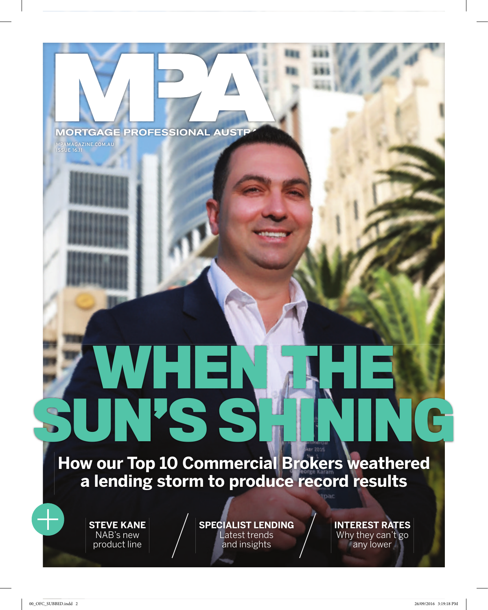### MORTGAGE PROFESSIONAL AUSTP

MPAMAGAZINE.COM.AU ISSUE 16.11

**How our Top 10 Commercial Brokers weathered a lending storm to produce record results**

**WHEN THE** 

**SUN'S SHINING** 

**STEVE KANE** NAB's new product line

**SPECIALIST LENDING** Latest trends and insights

**INTEREST RATES** Why they can't go any lower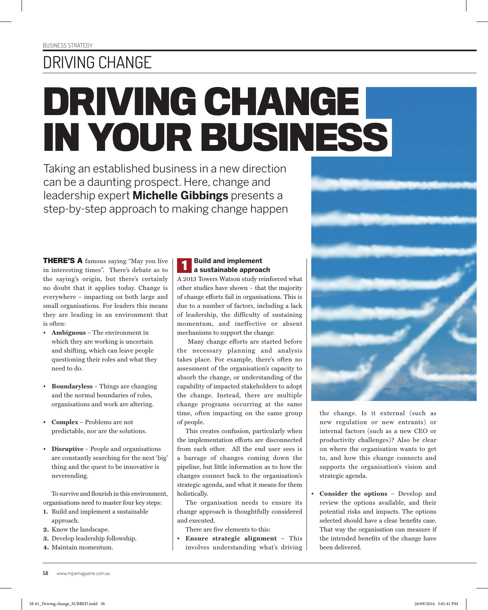## DRIVING CHANGE

# **DRIVING CHANGE IN YOUR BUSINESS**

Taking an established business in a new direction can be a daunting prospect. Here, change and leadership expert **Michelle Gibbings** presents a step-by-step approach to making change happen

**THERE'S A** famous saying "May you live in interesting times". There's debate as to the saying's origin, but there's certainly no doubt that it applies today. Change is everywhere – impacting on both large and small organisations. For leaders this means they are leading in an environment that is often:

- **Ambiguous** The environment in which they are working is uncertain and shifting, which can leave people questioning their roles and what they need to do.
- **Boundaryless** Things are changing and the normal boundaries of roles, organisations and work are altering.
- **Complex**  Problems are not predictable, nor are the solutions.
- **Disruptive**  People and organisations are constantly searching for the next 'big' thing and the quest to be innovative is neverending.

To survive and flourish in this environment, organisations need to master four key steps:

- **1.** Build and implement a sustainable approach.
- **2.** Know the landscape.
- **3.** Develop leadership followship.
- **4.** Maintain momentum.

## **1 Build and implement a sustainable approach**

A 2013 Towers Watson study reinforced what other studies have shown – that the majority of change efforts fail in organisations. This is due to a number of factors, including a lack of leadership, the difficulty of sustaining momentum, and ineffective or absent mechanisms to support the change.

 Many change efforts are started before the necessary planning and analysis takes place. For example, there's often no assessment of the organisation's capacity to absorb the change, or understanding of the capability of impacted stakeholders to adopt the change. Instead, there are multiple change programs occurring at the same time, often impacting on the same group of people.

This creates confusion, particularly when the implementation efforts are disconnected from each other. All the end user sees is a barrage of changes coming down the pipeline, but little information as to how the changes connect back to the organisation's strategic agenda, and what it means for them holistically.

The organisation needs to ensure its change approach is thoughtfully considered and executed.

There are five elements to this:

• **Ensure strategic alignment** – This involves understanding what's driving



on where the organisation wants to get to, and how this change connects and supports the organisation's vision and strategic agenda.

• **Consider the options** – Develop and review the options available, and their potential risks and impacts. The options selected should have a clear benefits case. That way the organisation can measure if the intended benefits of the change have been delivered.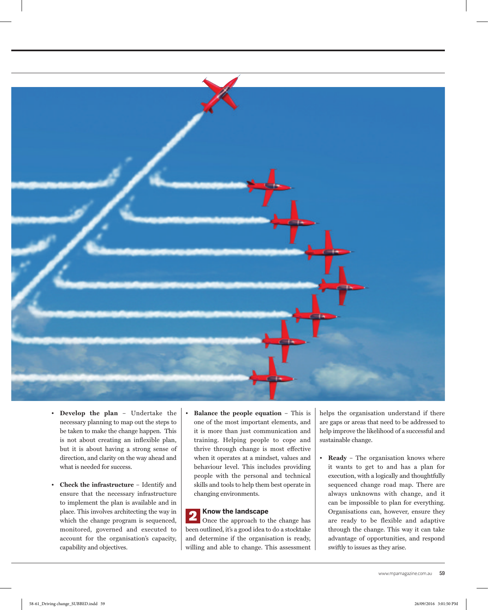

- **Develop the plan**  Undertake the necessary planning to map out the steps to be taken to make the change happen. This is not about creating an inflexible plan, but it is about having a strong sense of direction, and clarity on the way ahead and what is needed for success.
- **Check the infrastructure** Identify and ensure that the necessary infrastructure to implement the plan is available and in place. This involves architecting the way in which the change program is sequenced, monitored, governed and executed to account for the organisation's capacity, capability and objectives.
- **Balance the people equation** This is one of the most important elements, and it is more than just communication and training. Helping people to cope and thrive through change is most effective when it operates at a mindset, values and behaviour level. This includes providing people with the personal and technical skills and tools to help them best operate in changing environments.

#### **2 Know the landscape**

Once the approach to the change has been outlined, it's a good idea to do a stocktake and determine if the organisation is ready, willing and able to change. This assessment helps the organisation understand if there are gaps or areas that need to be addressed to help improve the likelihood of a successful and sustainable change.

• **Ready** – The organisation knows where it wants to get to and has a plan for execution, with a logically and thoughtfully sequenced change road map. There are always unknowns with change, and it can be impossible to plan for everything. Organisations can, however, ensure they are ready to be flexible and adaptive through the change. This way it can take advantage of opportunities, and respond swiftly to issues as they arise.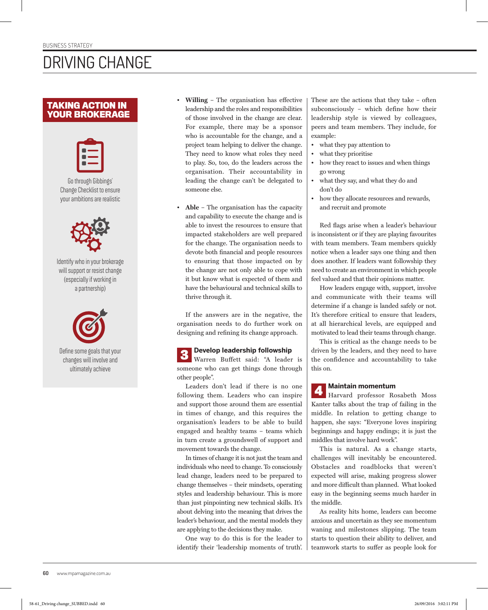## DRIVING CHANGE

#### **TAKING ACTION IN YOUR BROKERAGE**



Go through Gibbings' Change Checklist to ensure your ambitions are realistic



Identify who in your brokerage will support or resist change (especially if working in a partnership)



Define some goals that your changes will involve and ultimately achieve

- **Willing** The organisation has effective leadership and the roles and responsibilities of those involved in the change are clear. For example, there may be a sponsor who is accountable for the change, and a project team helping to deliver the change. They need to know what roles they need to play. So, too, do the leaders across the organisation. Their accountability in leading the change can't be delegated to someone else.
- **Able** The organisation has the capacity and capability to execute the change and is able to invest the resources to ensure that impacted stakeholders are well prepared for the change. The organisation needs to devote both financial and people resources to ensuring that those impacted on by the change are not only able to cope with it but know what is expected of them and have the behavioural and technical skills to thrive through it.

If the answers are in the negative, the organisation needs to do further work on designing and refining its change approach.

**3 Develop leadership followship**<br>Waynen, Buffatt, asid, "A leader Warren Buffett said: "A leader is someone who can get things done through other people".

Leaders don't lead if there is no one following them. Leaders who can inspire and support those around them are essential in times of change, and this requires the organisation's leaders to be able to build engaged and healthy teams – teams which in turn create a groundswell of support and movement towards the change.

In times of change it is not just the team and individuals who need to change. To consciously lead change, leaders need to be prepared to change themselves – their mindsets, operating styles and leadership behaviour. This is more than just pinpointing new technical skills. It's about delving into the meaning that drives the leader's behaviour, and the mental models they are applying to the decisions they make.

One way to do this is for the leader to identify their 'leadership moments of truth'.

These are the actions that they take – often subconsciously – which define how their leadership style is viewed by colleagues, peers and team members. They include, for example:

- what they pay attention to
- what they prioritise
- how they react to issues and when things go wrong
- what they say, and what they do and don't do
- how they allocate resources and rewards, and recruit and promote

Red flags arise when a leader's behaviour is inconsistent or if they are playing favourites with team members. Team members quickly notice when a leader says one thing and then does another. If leaders want followship they need to create an environment in which people feel valued and that their opinions matter.

How leaders engage with, support, involve and communicate with their teams will determine if a change is landed safely or not. It's therefore critical to ensure that leaders, at all hierarchical levels, are equipped and motivated to lead their teams through change.

This is critical as the change needs to be driven by the leaders, and they need to have the confidence and accountability to take this on.

**4 Maintain momentum** Harvard professor Rosabeth Moss Kanter talks about the trap of failing in the middle. In relation to getting change to happen, she says: "Everyone loves inspiring beginnings and happy endings; it is just the middles that involve hard work".

This is natural. As a change starts, challenges will inevitably be encountered. Obstacles and roadblocks that weren't expected will arise, making progress slower and more difficult than planned. What looked easy in the beginning seems much harder in the middle.

As reality hits home, leaders can become anxious and uncertain as they see momentum waning and milestones slipping. The team starts to question their ability to deliver, and teamwork starts to suffer as people look for